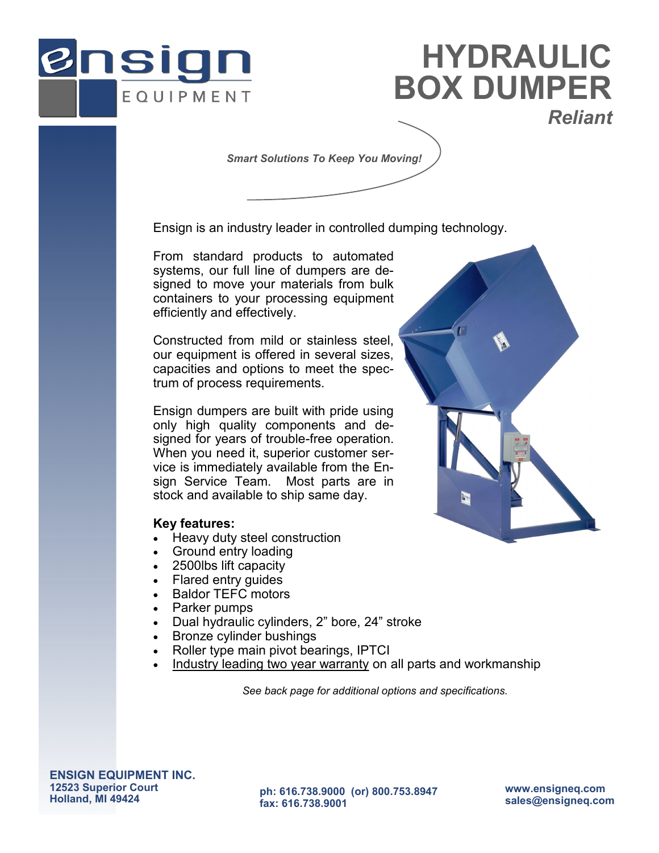

# **BOX DUMPER** *Reliant* **HYDRAULIC**

*Smart Solutions To Keep You Moving!*

Ensign is an industry leader in controlled dumping technology.

From standard products to automated systems, our full line of dumpers are designed to move your materials from bulk containers to your processing equipment efficiently and effectively.

Constructed from mild or stainless steel, our equipment is offered in several sizes, capacities and options to meet the spectrum of process requirements.

Ensign dumpers are built with pride using only high quality components and designed for years of trouble-free operation. When you need it, superior customer service is immediately available from the Ensign Service Team. Most parts are in stock and available to ship same day.

#### **Key features:**

- Heavy duty steel construction
- Ground entry loading
- 2500lbs lift capacity
- Flared entry guides
- Baldor TEFC motors
- Parker pumps
- Dual hydraulic cylinders, 2" bore, 24" stroke
- Bronze cylinder bushings
- Roller type main pivot bearings, IPTCI
- Industry leading two year warranty on all parts and workmanship

*See back page for additional options and specifications.*



**ph: 616.738.9000 (or) 800.753.8947 fax: 616.738.9001**

**www.ensigneq.com sales@ensigneq.com**